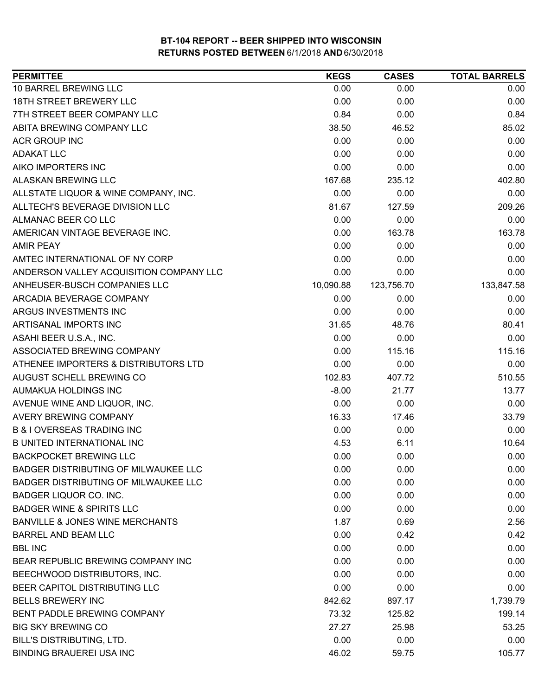| <b>PERMITTEE</b>                           | <b>KEGS</b> | <b>CASES</b> | <b>TOTAL BARRELS</b> |
|--------------------------------------------|-------------|--------------|----------------------|
| 10 BARREL BREWING LLC                      | 0.00        | 0.00         | 0.00                 |
| 18TH STREET BREWERY LLC                    | 0.00        | 0.00         | 0.00                 |
| 7TH STREET BEER COMPANY LLC                | 0.84        | 0.00         | 0.84                 |
| ABITA BREWING COMPANY LLC                  | 38.50       | 46.52        | 85.02                |
| <b>ACR GROUP INC</b>                       | 0.00        | 0.00         | 0.00                 |
| <b>ADAKAT LLC</b>                          | 0.00        | 0.00         | 0.00                 |
| AIKO IMPORTERS INC                         | 0.00        | 0.00         | 0.00                 |
| <b>ALASKAN BREWING LLC</b>                 | 167.68      | 235.12       | 402.80               |
| ALLSTATE LIQUOR & WINE COMPANY, INC.       | 0.00        | 0.00         | 0.00                 |
| ALLTECH'S BEVERAGE DIVISION LLC            | 81.67       | 127.59       | 209.26               |
| ALMANAC BEER CO LLC                        | 0.00        | 0.00         | 0.00                 |
| AMERICAN VINTAGE BEVERAGE INC.             | 0.00        | 163.78       | 163.78               |
| <b>AMIR PEAY</b>                           | 0.00        | 0.00         | 0.00                 |
| AMTEC INTERNATIONAL OF NY CORP             | 0.00        | 0.00         | 0.00                 |
| ANDERSON VALLEY ACQUISITION COMPANY LLC    | 0.00        | 0.00         | 0.00                 |
| ANHEUSER-BUSCH COMPANIES LLC               | 10,090.88   | 123,756.70   | 133,847.58           |
| ARCADIA BEVERAGE COMPANY                   | 0.00        | 0.00         | 0.00                 |
| ARGUS INVESTMENTS INC                      | 0.00        | 0.00         | 0.00                 |
| ARTISANAL IMPORTS INC                      | 31.65       | 48.76        | 80.41                |
| ASAHI BEER U.S.A., INC.                    | 0.00        | 0.00         | 0.00                 |
| ASSOCIATED BREWING COMPANY                 | 0.00        | 115.16       | 115.16               |
| ATHENEE IMPORTERS & DISTRIBUTORS LTD       | 0.00        | 0.00         | 0.00                 |
| AUGUST SCHELL BREWING CO                   | 102.83      | 407.72       | 510.55               |
| AUMAKUA HOLDINGS INC                       | $-8.00$     | 21.77        | 13.77                |
| AVENUE WINE AND LIQUOR, INC.               | 0.00        | 0.00         | 0.00                 |
| AVERY BREWING COMPANY                      | 16.33       | 17.46        | 33.79                |
| <b>B &amp; I OVERSEAS TRADING INC</b>      | 0.00        | 0.00         | 0.00                 |
| <b>B UNITED INTERNATIONAL INC</b>          | 4.53        | 6.11         | 10.64                |
| <b>BACKPOCKET BREWING LLC</b>              | 0.00        | 0.00         | 0.00                 |
| BADGER DISTRIBUTING OF MILWAUKEE LLC       | 0.00        | 0.00         | 0.00                 |
| BADGER DISTRIBUTING OF MILWAUKEE LLC       | 0.00        | 0.00         | 0.00                 |
| BADGER LIQUOR CO. INC.                     | 0.00        | 0.00         | 0.00                 |
| <b>BADGER WINE &amp; SPIRITS LLC</b>       | 0.00        | 0.00         | 0.00                 |
| <b>BANVILLE &amp; JONES WINE MERCHANTS</b> | 1.87        | 0.69         | 2.56                 |
| BARREL AND BEAM LLC                        | 0.00        | 0.42         | 0.42                 |
| <b>BBL INC</b>                             | 0.00        | 0.00         | 0.00                 |
| BEAR REPUBLIC BREWING COMPANY INC          | 0.00        | 0.00         | 0.00                 |
| BEECHWOOD DISTRIBUTORS, INC.               | 0.00        | 0.00         | 0.00                 |
| BEER CAPITOL DISTRIBUTING LLC              | 0.00        | 0.00         | 0.00                 |
| <b>BELLS BREWERY INC</b>                   | 842.62      | 897.17       | 1,739.79             |
| BENT PADDLE BREWING COMPANY                | 73.32       | 125.82       | 199.14               |
| <b>BIG SKY BREWING CO</b>                  | 27.27       | 25.98        | 53.25                |
| BILL'S DISTRIBUTING, LTD.                  | 0.00        | 0.00         | 0.00                 |
| <b>BINDING BRAUEREI USA INC</b>            | 46.02       | 59.75        | 105.77               |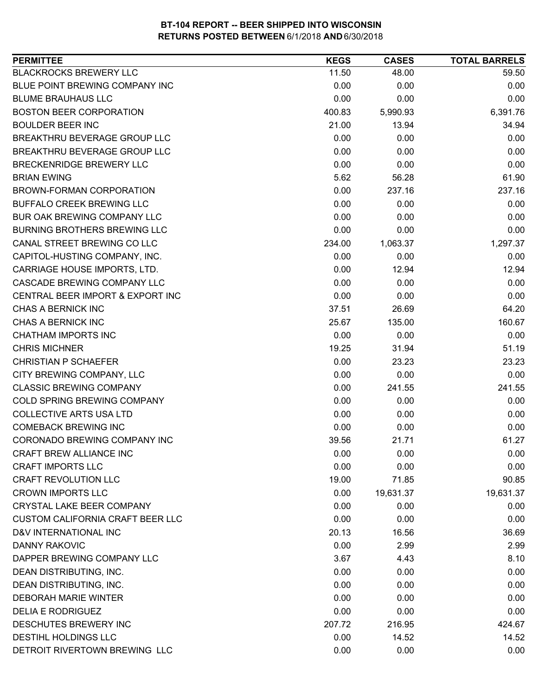| <b>PERMITTEE</b>                        | <b>KEGS</b> | <b>CASES</b> | <b>TOTAL BARRELS</b> |
|-----------------------------------------|-------------|--------------|----------------------|
| <b>BLACKROCKS BREWERY LLC</b>           | 11.50       | 48.00        | 59.50                |
| BLUE POINT BREWING COMPANY INC          | 0.00        | 0.00         | 0.00                 |
| <b>BLUME BRAUHAUS LLC</b>               | 0.00        | 0.00         | 0.00                 |
| <b>BOSTON BEER CORPORATION</b>          | 400.83      | 5,990.93     | 6,391.76             |
| <b>BOULDER BEER INC</b>                 | 21.00       | 13.94        | 34.94                |
| BREAKTHRU BEVERAGE GROUP LLC            | 0.00        | 0.00         | 0.00                 |
| BREAKTHRU BEVERAGE GROUP LLC            | 0.00        | 0.00         | 0.00                 |
| <b>BRECKENRIDGE BREWERY LLC</b>         | 0.00        | 0.00         | 0.00                 |
| <b>BRIAN EWING</b>                      | 5.62        | 56.28        | 61.90                |
| BROWN-FORMAN CORPORATION                | 0.00        | 237.16       | 237.16               |
| BUFFALO CREEK BREWING LLC               | 0.00        | 0.00         | 0.00                 |
| BUR OAK BREWING COMPANY LLC             | 0.00        | 0.00         | 0.00                 |
| <b>BURNING BROTHERS BREWING LLC</b>     | 0.00        | 0.00         | 0.00                 |
| CANAL STREET BREWING CO LLC             | 234.00      | 1,063.37     | 1,297.37             |
| CAPITOL-HUSTING COMPANY, INC.           | 0.00        | 0.00         | 0.00                 |
| CARRIAGE HOUSE IMPORTS, LTD.            | 0.00        | 12.94        | 12.94                |
| <b>CASCADE BREWING COMPANY LLC</b>      | 0.00        | 0.00         | 0.00                 |
| CENTRAL BEER IMPORT & EXPORT INC        | 0.00        | 0.00         | 0.00                 |
| <b>CHAS A BERNICK INC</b>               | 37.51       | 26.69        | 64.20                |
| <b>CHAS A BERNICK INC</b>               | 25.67       | 135.00       | 160.67               |
| CHATHAM IMPORTS INC                     | 0.00        | 0.00         | 0.00                 |
| <b>CHRIS MICHNER</b>                    | 19.25       | 31.94        | 51.19                |
| <b>CHRISTIAN P SCHAEFER</b>             | 0.00        | 23.23        | 23.23                |
| CITY BREWING COMPANY, LLC               | 0.00        | 0.00         | 0.00                 |
| <b>CLASSIC BREWING COMPANY</b>          | 0.00        | 241.55       | 241.55               |
| COLD SPRING BREWING COMPANY             | 0.00        | 0.00         | 0.00                 |
| <b>COLLECTIVE ARTS USA LTD</b>          | 0.00        | 0.00         | 0.00                 |
| <b>COMEBACK BREWING INC</b>             | 0.00        | 0.00         | 0.00                 |
| CORONADO BREWING COMPANY INC            | 39.56       | 21.71        | 61.27                |
| CRAFT BREW ALLIANCE INC                 | 0.00        | 0.00         | 0.00                 |
| <b>CRAFT IMPORTS LLC</b>                | 0.00        | 0.00         | 0.00                 |
| <b>CRAFT REVOLUTION LLC</b>             | 19.00       | 71.85        | 90.85                |
| <b>CROWN IMPORTS LLC</b>                | 0.00        | 19,631.37    | 19,631.37            |
| <b>CRYSTAL LAKE BEER COMPANY</b>        | 0.00        | 0.00         | 0.00                 |
| <b>CUSTOM CALIFORNIA CRAFT BEER LLC</b> | 0.00        | 0.00         | 0.00                 |
| D&V INTERNATIONAL INC                   | 20.13       | 16.56        | 36.69                |
| <b>DANNY RAKOVIC</b>                    | 0.00        | 2.99         | 2.99                 |
| DAPPER BREWING COMPANY LLC              | 3.67        | 4.43         | 8.10                 |
| DEAN DISTRIBUTING, INC.                 | 0.00        | 0.00         | 0.00                 |
| DEAN DISTRIBUTING, INC.                 | 0.00        | 0.00         | 0.00                 |
| <b>DEBORAH MARIE WINTER</b>             | 0.00        | 0.00         | 0.00                 |
| <b>DELIA E RODRIGUEZ</b>                | 0.00        | 0.00         | 0.00                 |
| DESCHUTES BREWERY INC                   | 207.72      | 216.95       | 424.67               |
| DESTIHL HOLDINGS LLC                    | 0.00        | 14.52        | 14.52                |
| DETROIT RIVERTOWN BREWING LLC           | 0.00        | 0.00         | 0.00                 |
|                                         |             |              |                      |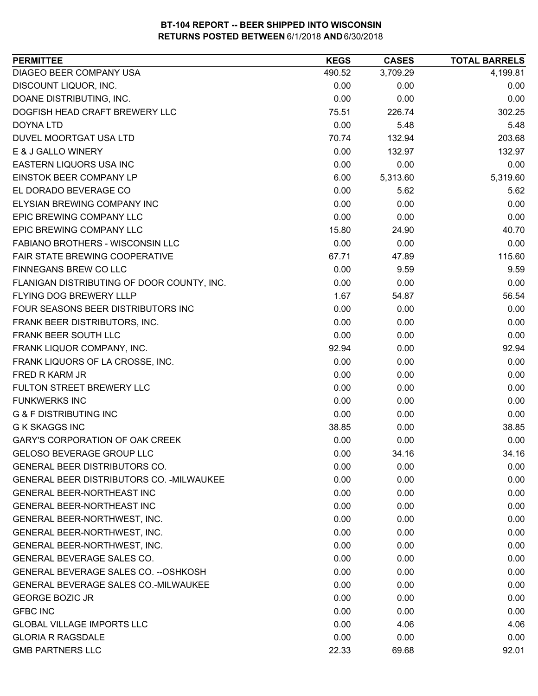| <b>PERMITTEE</b>                           | <b>KEGS</b> | <b>CASES</b> | <b>TOTAL BARRELS</b> |
|--------------------------------------------|-------------|--------------|----------------------|
| DIAGEO BEER COMPANY USA                    | 490.52      | 3,709.29     | 4,199.81             |
| DISCOUNT LIQUOR, INC.                      | 0.00        | 0.00         | 0.00                 |
| DOANE DISTRIBUTING, INC.                   | 0.00        | 0.00         | 0.00                 |
| DOGFISH HEAD CRAFT BREWERY LLC             | 75.51       | 226.74       | 302.25               |
| DOYNA LTD                                  | 0.00        | 5.48         | 5.48                 |
| DUVEL MOORTGAT USA LTD                     | 70.74       | 132.94       | 203.68               |
| E & J GALLO WINERY                         | 0.00        | 132.97       | 132.97               |
| EASTERN LIQUORS USA INC                    | 0.00        | 0.00         | 0.00                 |
| <b>EINSTOK BEER COMPANY LP</b>             | 6.00        | 5,313.60     | 5,319.60             |
| EL DORADO BEVERAGE CO                      | 0.00        | 5.62         | 5.62                 |
| ELYSIAN BREWING COMPANY INC                | 0.00        | 0.00         | 0.00                 |
| EPIC BREWING COMPANY LLC                   | 0.00        | 0.00         | 0.00                 |
| EPIC BREWING COMPANY LLC                   | 15.80       | 24.90        | 40.70                |
| <b>FABIANO BROTHERS - WISCONSIN LLC</b>    | 0.00        | 0.00         | 0.00                 |
| FAIR STATE BREWING COOPERATIVE             | 67.71       | 47.89        | 115.60               |
| FINNEGANS BREW CO LLC                      | 0.00        | 9.59         | 9.59                 |
| FLANIGAN DISTRIBUTING OF DOOR COUNTY, INC. | 0.00        | 0.00         | 0.00                 |
| FLYING DOG BREWERY LLLP                    | 1.67        | 54.87        | 56.54                |
| FOUR SEASONS BEER DISTRIBUTORS INC         | 0.00        | 0.00         | 0.00                 |
| FRANK BEER DISTRIBUTORS, INC.              | 0.00        | 0.00         | 0.00                 |
| FRANK BEER SOUTH LLC                       | 0.00        | 0.00         | 0.00                 |
| FRANK LIQUOR COMPANY, INC.                 | 92.94       | 0.00         | 92.94                |
| FRANK LIQUORS OF LA CROSSE, INC.           | 0.00        | 0.00         | 0.00                 |
| <b>FRED R KARM JR</b>                      | 0.00        | 0.00         | 0.00                 |
| FULTON STREET BREWERY LLC                  | 0.00        | 0.00         | 0.00                 |
| <b>FUNKWERKS INC</b>                       | 0.00        | 0.00         | 0.00                 |
| <b>G &amp; F DISTRIBUTING INC</b>          | 0.00        | 0.00         | 0.00                 |
| <b>G K SKAGGS INC</b>                      | 38.85       | 0.00         | 38.85                |
| <b>GARY'S CORPORATION OF OAK CREEK</b>     | 0.00        | 0.00         | 0.00                 |
| <b>GELOSO BEVERAGE GROUP LLC</b>           | 0.00        | 34.16        | 34.16                |
| <b>GENERAL BEER DISTRIBUTORS CO.</b>       | 0.00        | 0.00         | 0.00                 |
| GENERAL BEER DISTRIBUTORS CO. - MILWAUKEE  | 0.00        | 0.00         | 0.00                 |
| <b>GENERAL BEER-NORTHEAST INC</b>          | 0.00        | 0.00         | 0.00                 |
| <b>GENERAL BEER-NORTHEAST INC</b>          | 0.00        | 0.00         | 0.00                 |
| GENERAL BEER-NORTHWEST, INC.               | 0.00        | 0.00         | 0.00                 |
| GENERAL BEER-NORTHWEST, INC.               | 0.00        | 0.00         | 0.00                 |
| GENERAL BEER-NORTHWEST, INC.               | 0.00        | 0.00         | 0.00                 |
| <b>GENERAL BEVERAGE SALES CO.</b>          | 0.00        | 0.00         | 0.00                 |
| GENERAL BEVERAGE SALES CO. -- OSHKOSH      | 0.00        | 0.00         | 0.00                 |
| GENERAL BEVERAGE SALES CO.-MILWAUKEE       | 0.00        | 0.00         | 0.00                 |
| <b>GEORGE BOZIC JR</b>                     | 0.00        | 0.00         | 0.00                 |
| <b>GFBC INC</b>                            | 0.00        | 0.00         | 0.00                 |
| <b>GLOBAL VILLAGE IMPORTS LLC</b>          | 0.00        | 4.06         | 4.06                 |
| <b>GLORIA R RAGSDALE</b>                   | 0.00        | 0.00         | 0.00                 |
| <b>GMB PARTNERS LLC</b>                    | 22.33       | 69.68        | 92.01                |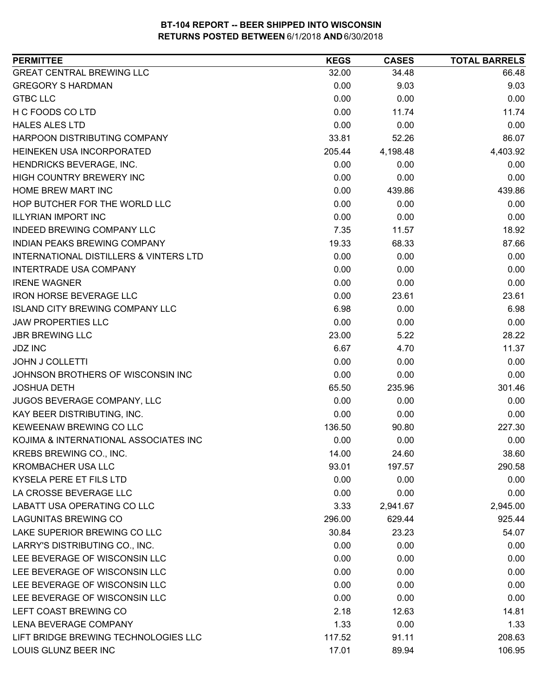| <b>PERMITTEE</b>                                  | <b>KEGS</b> | <b>CASES</b> | <b>TOTAL BARRELS</b> |
|---------------------------------------------------|-------------|--------------|----------------------|
| <b>GREAT CENTRAL BREWING LLC</b>                  | 32.00       | 34.48        | 66.48                |
| <b>GREGORY S HARDMAN</b>                          | 0.00        | 9.03         | 9.03                 |
| <b>GTBC LLC</b>                                   | 0.00        | 0.00         | 0.00                 |
| H C FOODS CO LTD                                  | 0.00        | 11.74        | 11.74                |
| <b>HALES ALES LTD</b>                             | 0.00        | 0.00         | 0.00                 |
| HARPOON DISTRIBUTING COMPANY                      | 33.81       | 52.26        | 86.07                |
| HEINEKEN USA INCORPORATED                         | 205.44      | 4,198.48     | 4,403.92             |
| HENDRICKS BEVERAGE, INC.                          | 0.00        | 0.00         | 0.00                 |
| HIGH COUNTRY BREWERY INC                          | 0.00        | 0.00         | 0.00                 |
| HOME BREW MART INC                                | 0.00        | 439.86       | 439.86               |
| HOP BUTCHER FOR THE WORLD LLC                     | 0.00        | 0.00         | 0.00                 |
| <b>ILLYRIAN IMPORT INC</b>                        | 0.00        | 0.00         | 0.00                 |
| <b>INDEED BREWING COMPANY LLC</b>                 | 7.35        | 11.57        | 18.92                |
| INDIAN PEAKS BREWING COMPANY                      | 19.33       | 68.33        | 87.66                |
| <b>INTERNATIONAL DISTILLERS &amp; VINTERS LTD</b> | 0.00        | 0.00         | 0.00                 |
| <b>INTERTRADE USA COMPANY</b>                     | 0.00        | 0.00         | 0.00                 |
| <b>IRENE WAGNER</b>                               | 0.00        | 0.00         | 0.00                 |
| <b>IRON HORSE BEVERAGE LLC</b>                    | 0.00        | 23.61        | 23.61                |
| <b>ISLAND CITY BREWING COMPANY LLC</b>            | 6.98        | 0.00         | 6.98                 |
| <b>JAW PROPERTIES LLC</b>                         | 0.00        | 0.00         | 0.00                 |
| <b>JBR BREWING LLC</b>                            | 23.00       | 5.22         | 28.22                |
| <b>JDZ INC</b>                                    | 6.67        | 4.70         | 11.37                |
| <b>JOHN J COLLETTI</b>                            | 0.00        | 0.00         | 0.00                 |
| JOHNSON BROTHERS OF WISCONSIN INC                 | 0.00        | 0.00         | 0.00                 |
| <b>JOSHUA DETH</b>                                | 65.50       | 235.96       | 301.46               |
| JUGOS BEVERAGE COMPANY, LLC                       | 0.00        | 0.00         | 0.00                 |
| KAY BEER DISTRIBUTING, INC.                       | 0.00        | 0.00         | 0.00                 |
| KEWEENAW BREWING CO LLC                           | 136.50      | 90.80        | 227.30               |
| KOJIMA & INTERNATIONAL ASSOCIATES INC             | 0.00        | 0.00         | 0.00                 |
| KREBS BREWING CO., INC.                           | 14.00       | 24.60        | 38.60                |
| KROMBACHER USA LLC                                | 93.01       | 197.57       | 290.58               |
| KYSELA PERE ET FILS LTD                           | 0.00        | 0.00         | 0.00                 |
| LA CROSSE BEVERAGE LLC                            | 0.00        | 0.00         | 0.00                 |
| LABATT USA OPERATING CO LLC                       | 3.33        | 2,941.67     | 2,945.00             |
| <b>LAGUNITAS BREWING CO</b>                       | 296.00      | 629.44       | 925.44               |
| LAKE SUPERIOR BREWING CO LLC                      | 30.84       | 23.23        | 54.07                |
| LARRY'S DISTRIBUTING CO., INC.                    | 0.00        | 0.00         | 0.00                 |
| LEE BEVERAGE OF WISCONSIN LLC                     | 0.00        | 0.00         | 0.00                 |
| LEE BEVERAGE OF WISCONSIN LLC                     | 0.00        | 0.00         | 0.00                 |
| LEE BEVERAGE OF WISCONSIN LLC                     | 0.00        | 0.00         | 0.00                 |
| LEE BEVERAGE OF WISCONSIN LLC                     | 0.00        | 0.00         | 0.00                 |
| LEFT COAST BREWING CO                             | 2.18        | 12.63        | 14.81                |
| LENA BEVERAGE COMPANY                             | 1.33        | 0.00         | 1.33                 |
| LIFT BRIDGE BREWING TECHNOLOGIES LLC              | 117.52      | 91.11        | 208.63               |
| LOUIS GLUNZ BEER INC                              | 17.01       | 89.94        | 106.95               |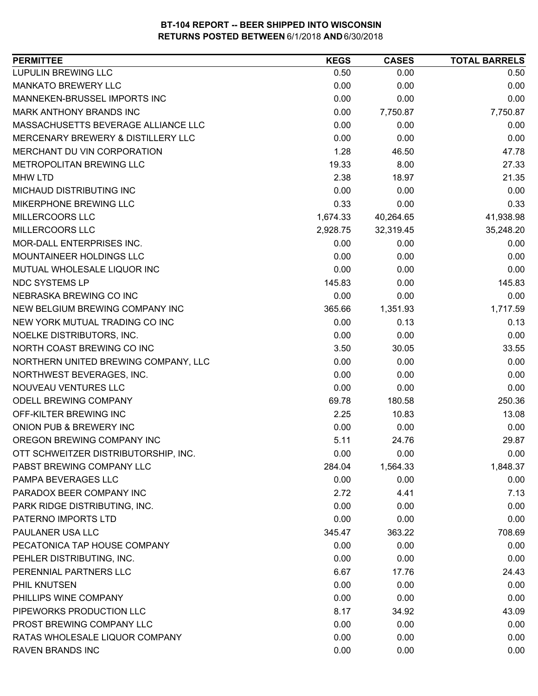| 0.50<br>0.00<br>0.50<br>0.00<br>0.00<br>0.00<br>0.00<br>0.00<br>0.00<br>0.00<br>7,750.87<br>7,750.87<br>0.00<br>0.00<br>0.00<br>0.00<br>0.00<br>0.00<br>1.28<br>46.50<br>47.78<br>19.33<br>8.00<br>27.33<br>2.38<br>18.97<br>21.35<br>0.00<br>0.00<br>0.00<br>0.33<br>0.00<br>0.33<br>41,938.98<br>1,674.33<br>40,264.65<br>32,319.45<br>35,248.20<br>2,928.75<br>0.00<br>0.00<br>0.00<br>0.00<br>0.00<br>0.00<br>0.00<br>0.00<br>0.00<br>145.83<br>0.00<br>145.83<br>0.00<br>0.00<br>0.00<br>1,717.59<br>365.66<br>1,351.93<br>0.00<br>0.13<br>0.13<br>0.00<br>0.00<br>0.00<br>3.50<br>30.05<br>33.55<br>0.00<br>0.00<br>0.00<br>0.00<br>0.00<br>0.00<br>0.00<br>0.00<br>0.00<br>250.36<br>69.78<br>180.58<br>OFF-KILTER BREWING INC<br>2.25<br>10.83<br>13.08<br>0.00<br>0.00<br>0.00<br>OREGON BREWING COMPANY INC<br>5.11<br>24.76<br>29.87<br>0.00<br>0.00<br>0.00<br>284.04<br>1,564.33<br>1,848.37<br>0.00<br>0.00<br>0.00<br>7.13<br>2.72<br>4.41<br>0.00<br>0.00<br>0.00<br>0.00<br>0.00<br>0.00<br>708.69<br>345.47<br>363.22<br>0.00<br>0.00<br>0.00<br>0.00<br>0.00<br>0.00<br>6.67<br>17.76<br>24.43<br>0.00<br>0.00<br>0.00<br>0.00<br>0.00<br>0.00<br>8.17<br>34.92<br>43.09<br>0.00<br>0.00<br>0.00<br>0.00<br>0.00<br>0.00 | <b>PERMITTEE</b>                     | <b>KEGS</b> | <b>CASES</b> | <b>TOTAL BARRELS</b> |
|---------------------------------------------------------------------------------------------------------------------------------------------------------------------------------------------------------------------------------------------------------------------------------------------------------------------------------------------------------------------------------------------------------------------------------------------------------------------------------------------------------------------------------------------------------------------------------------------------------------------------------------------------------------------------------------------------------------------------------------------------------------------------------------------------------------------------------------------------------------------------------------------------------------------------------------------------------------------------------------------------------------------------------------------------------------------------------------------------------------------------------------------------------------------------------------------------------------------------------------------|--------------------------------------|-------------|--------------|----------------------|
|                                                                                                                                                                                                                                                                                                                                                                                                                                                                                                                                                                                                                                                                                                                                                                                                                                                                                                                                                                                                                                                                                                                                                                                                                                             | <b>LUPULIN BREWING LLC</b>           |             |              |                      |
|                                                                                                                                                                                                                                                                                                                                                                                                                                                                                                                                                                                                                                                                                                                                                                                                                                                                                                                                                                                                                                                                                                                                                                                                                                             | <b>MANKATO BREWERY LLC</b>           |             |              |                      |
|                                                                                                                                                                                                                                                                                                                                                                                                                                                                                                                                                                                                                                                                                                                                                                                                                                                                                                                                                                                                                                                                                                                                                                                                                                             | MANNEKEN-BRUSSEL IMPORTS INC         |             |              |                      |
|                                                                                                                                                                                                                                                                                                                                                                                                                                                                                                                                                                                                                                                                                                                                                                                                                                                                                                                                                                                                                                                                                                                                                                                                                                             | <b>MARK ANTHONY BRANDS INC</b>       |             |              |                      |
|                                                                                                                                                                                                                                                                                                                                                                                                                                                                                                                                                                                                                                                                                                                                                                                                                                                                                                                                                                                                                                                                                                                                                                                                                                             | MASSACHUSETTS BEVERAGE ALLIANCE LLC  |             |              |                      |
|                                                                                                                                                                                                                                                                                                                                                                                                                                                                                                                                                                                                                                                                                                                                                                                                                                                                                                                                                                                                                                                                                                                                                                                                                                             | MERCENARY BREWERY & DISTILLERY LLC   |             |              |                      |
|                                                                                                                                                                                                                                                                                                                                                                                                                                                                                                                                                                                                                                                                                                                                                                                                                                                                                                                                                                                                                                                                                                                                                                                                                                             | MERCHANT DU VIN CORPORATION          |             |              |                      |
|                                                                                                                                                                                                                                                                                                                                                                                                                                                                                                                                                                                                                                                                                                                                                                                                                                                                                                                                                                                                                                                                                                                                                                                                                                             | METROPOLITAN BREWING LLC             |             |              |                      |
|                                                                                                                                                                                                                                                                                                                                                                                                                                                                                                                                                                                                                                                                                                                                                                                                                                                                                                                                                                                                                                                                                                                                                                                                                                             | <b>MHW LTD</b>                       |             |              |                      |
|                                                                                                                                                                                                                                                                                                                                                                                                                                                                                                                                                                                                                                                                                                                                                                                                                                                                                                                                                                                                                                                                                                                                                                                                                                             | MICHAUD DISTRIBUTING INC             |             |              |                      |
|                                                                                                                                                                                                                                                                                                                                                                                                                                                                                                                                                                                                                                                                                                                                                                                                                                                                                                                                                                                                                                                                                                                                                                                                                                             | MIKERPHONE BREWING LLC               |             |              |                      |
|                                                                                                                                                                                                                                                                                                                                                                                                                                                                                                                                                                                                                                                                                                                                                                                                                                                                                                                                                                                                                                                                                                                                                                                                                                             | MILLERCOORS LLC                      |             |              |                      |
|                                                                                                                                                                                                                                                                                                                                                                                                                                                                                                                                                                                                                                                                                                                                                                                                                                                                                                                                                                                                                                                                                                                                                                                                                                             | MILLERCOORS LLC                      |             |              |                      |
|                                                                                                                                                                                                                                                                                                                                                                                                                                                                                                                                                                                                                                                                                                                                                                                                                                                                                                                                                                                                                                                                                                                                                                                                                                             | MOR-DALL ENTERPRISES INC.            |             |              |                      |
|                                                                                                                                                                                                                                                                                                                                                                                                                                                                                                                                                                                                                                                                                                                                                                                                                                                                                                                                                                                                                                                                                                                                                                                                                                             | MOUNTAINEER HOLDINGS LLC             |             |              |                      |
|                                                                                                                                                                                                                                                                                                                                                                                                                                                                                                                                                                                                                                                                                                                                                                                                                                                                                                                                                                                                                                                                                                                                                                                                                                             | MUTUAL WHOLESALE LIQUOR INC          |             |              |                      |
|                                                                                                                                                                                                                                                                                                                                                                                                                                                                                                                                                                                                                                                                                                                                                                                                                                                                                                                                                                                                                                                                                                                                                                                                                                             | NDC SYSTEMS LP                       |             |              |                      |
|                                                                                                                                                                                                                                                                                                                                                                                                                                                                                                                                                                                                                                                                                                                                                                                                                                                                                                                                                                                                                                                                                                                                                                                                                                             | NEBRASKA BREWING CO INC              |             |              |                      |
|                                                                                                                                                                                                                                                                                                                                                                                                                                                                                                                                                                                                                                                                                                                                                                                                                                                                                                                                                                                                                                                                                                                                                                                                                                             | NEW BELGIUM BREWING COMPANY INC      |             |              |                      |
|                                                                                                                                                                                                                                                                                                                                                                                                                                                                                                                                                                                                                                                                                                                                                                                                                                                                                                                                                                                                                                                                                                                                                                                                                                             | NEW YORK MUTUAL TRADING CO INC       |             |              |                      |
|                                                                                                                                                                                                                                                                                                                                                                                                                                                                                                                                                                                                                                                                                                                                                                                                                                                                                                                                                                                                                                                                                                                                                                                                                                             | NOELKE DISTRIBUTORS, INC.            |             |              |                      |
|                                                                                                                                                                                                                                                                                                                                                                                                                                                                                                                                                                                                                                                                                                                                                                                                                                                                                                                                                                                                                                                                                                                                                                                                                                             | NORTH COAST BREWING CO INC           |             |              |                      |
|                                                                                                                                                                                                                                                                                                                                                                                                                                                                                                                                                                                                                                                                                                                                                                                                                                                                                                                                                                                                                                                                                                                                                                                                                                             | NORTHERN UNITED BREWING COMPANY, LLC |             |              |                      |
|                                                                                                                                                                                                                                                                                                                                                                                                                                                                                                                                                                                                                                                                                                                                                                                                                                                                                                                                                                                                                                                                                                                                                                                                                                             | NORTHWEST BEVERAGES, INC.            |             |              |                      |
|                                                                                                                                                                                                                                                                                                                                                                                                                                                                                                                                                                                                                                                                                                                                                                                                                                                                                                                                                                                                                                                                                                                                                                                                                                             | NOUVEAU VENTURES LLC                 |             |              |                      |
|                                                                                                                                                                                                                                                                                                                                                                                                                                                                                                                                                                                                                                                                                                                                                                                                                                                                                                                                                                                                                                                                                                                                                                                                                                             | ODELL BREWING COMPANY                |             |              |                      |
|                                                                                                                                                                                                                                                                                                                                                                                                                                                                                                                                                                                                                                                                                                                                                                                                                                                                                                                                                                                                                                                                                                                                                                                                                                             |                                      |             |              |                      |
|                                                                                                                                                                                                                                                                                                                                                                                                                                                                                                                                                                                                                                                                                                                                                                                                                                                                                                                                                                                                                                                                                                                                                                                                                                             | ONION PUB & BREWERY INC              |             |              |                      |
|                                                                                                                                                                                                                                                                                                                                                                                                                                                                                                                                                                                                                                                                                                                                                                                                                                                                                                                                                                                                                                                                                                                                                                                                                                             |                                      |             |              |                      |
|                                                                                                                                                                                                                                                                                                                                                                                                                                                                                                                                                                                                                                                                                                                                                                                                                                                                                                                                                                                                                                                                                                                                                                                                                                             | OTT SCHWEITZER DISTRIBUTORSHIP, INC. |             |              |                      |
|                                                                                                                                                                                                                                                                                                                                                                                                                                                                                                                                                                                                                                                                                                                                                                                                                                                                                                                                                                                                                                                                                                                                                                                                                                             | PABST BREWING COMPANY LLC            |             |              |                      |
|                                                                                                                                                                                                                                                                                                                                                                                                                                                                                                                                                                                                                                                                                                                                                                                                                                                                                                                                                                                                                                                                                                                                                                                                                                             | PAMPA BEVERAGES LLC                  |             |              |                      |
|                                                                                                                                                                                                                                                                                                                                                                                                                                                                                                                                                                                                                                                                                                                                                                                                                                                                                                                                                                                                                                                                                                                                                                                                                                             | PARADOX BEER COMPANY INC             |             |              |                      |
|                                                                                                                                                                                                                                                                                                                                                                                                                                                                                                                                                                                                                                                                                                                                                                                                                                                                                                                                                                                                                                                                                                                                                                                                                                             | PARK RIDGE DISTRIBUTING, INC.        |             |              |                      |
|                                                                                                                                                                                                                                                                                                                                                                                                                                                                                                                                                                                                                                                                                                                                                                                                                                                                                                                                                                                                                                                                                                                                                                                                                                             | PATERNO IMPORTS LTD                  |             |              |                      |
|                                                                                                                                                                                                                                                                                                                                                                                                                                                                                                                                                                                                                                                                                                                                                                                                                                                                                                                                                                                                                                                                                                                                                                                                                                             | PAULANER USA LLC                     |             |              |                      |
|                                                                                                                                                                                                                                                                                                                                                                                                                                                                                                                                                                                                                                                                                                                                                                                                                                                                                                                                                                                                                                                                                                                                                                                                                                             | PECATONICA TAP HOUSE COMPANY         |             |              |                      |
|                                                                                                                                                                                                                                                                                                                                                                                                                                                                                                                                                                                                                                                                                                                                                                                                                                                                                                                                                                                                                                                                                                                                                                                                                                             | PEHLER DISTRIBUTING, INC.            |             |              |                      |
|                                                                                                                                                                                                                                                                                                                                                                                                                                                                                                                                                                                                                                                                                                                                                                                                                                                                                                                                                                                                                                                                                                                                                                                                                                             | PERENNIAL PARTNERS LLC               |             |              |                      |
|                                                                                                                                                                                                                                                                                                                                                                                                                                                                                                                                                                                                                                                                                                                                                                                                                                                                                                                                                                                                                                                                                                                                                                                                                                             | PHIL KNUTSEN                         |             |              |                      |
|                                                                                                                                                                                                                                                                                                                                                                                                                                                                                                                                                                                                                                                                                                                                                                                                                                                                                                                                                                                                                                                                                                                                                                                                                                             | PHILLIPS WINE COMPANY                |             |              |                      |
|                                                                                                                                                                                                                                                                                                                                                                                                                                                                                                                                                                                                                                                                                                                                                                                                                                                                                                                                                                                                                                                                                                                                                                                                                                             | PIPEWORKS PRODUCTION LLC             |             |              |                      |
|                                                                                                                                                                                                                                                                                                                                                                                                                                                                                                                                                                                                                                                                                                                                                                                                                                                                                                                                                                                                                                                                                                                                                                                                                                             | PROST BREWING COMPANY LLC            |             |              |                      |
|                                                                                                                                                                                                                                                                                                                                                                                                                                                                                                                                                                                                                                                                                                                                                                                                                                                                                                                                                                                                                                                                                                                                                                                                                                             | RATAS WHOLESALE LIQUOR COMPANY       |             |              |                      |
|                                                                                                                                                                                                                                                                                                                                                                                                                                                                                                                                                                                                                                                                                                                                                                                                                                                                                                                                                                                                                                                                                                                                                                                                                                             | <b>RAVEN BRANDS INC</b>              | 0.00        | 0.00         | 0.00                 |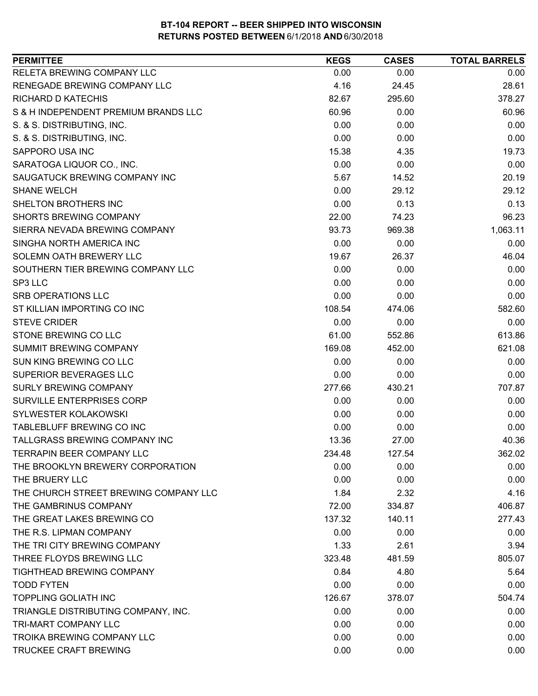| RELETA BREWING COMPANY LLC<br>0.00<br>0.00<br>0.00<br>RENEGADE BREWING COMPANY LLC<br>4.16<br>28.61<br>24.45<br><b>RICHARD D KATECHIS</b><br>295.60<br>378.27<br>82.67<br>S & H INDEPENDENT PREMIUM BRANDS LLC<br>60.96<br>0.00<br>60.96<br>0.00<br>0.00<br>S. & S. DISTRIBUTING, INC.<br>0.00<br>S. & S. DISTRIBUTING, INC.<br>0.00<br>0.00<br>0.00<br>SAPPORO USA INC<br>15.38<br>4.35<br>19.73<br>0.00<br>SARATOGA LIQUOR CO., INC.<br>0.00<br>0.00<br>SAUGATUCK BREWING COMPANY INC<br>5.67<br>14.52<br>20.19<br>0.00<br>29.12<br><b>SHANE WELCH</b><br>29.12<br>SHELTON BROTHERS INC<br>0.00<br>0.13<br>0.13<br><b>SHORTS BREWING COMPANY</b><br>22.00<br>96.23<br>74.23<br>1,063.11<br>SIERRA NEVADA BREWING COMPANY<br>93.73<br>969.38<br>SINGHA NORTH AMERICA INC<br>0.00<br>0.00<br>0.00<br>SOLEMN OATH BREWERY LLC<br>19.67<br>26.37<br>46.04<br>0.00<br>SOUTHERN TIER BREWING COMPANY LLC<br>0.00<br>0.00<br>0.00<br>SP3 LLC<br>0.00<br>0.00<br><b>SRB OPERATIONS LLC</b><br>0.00<br>0.00<br>0.00<br>ST KILLIAN IMPORTING CO INC<br>582.60<br>108.54<br>474.06<br><b>STEVE CRIDER</b><br>0.00<br>0.00<br>0.00<br>613.86<br>STONE BREWING CO LLC<br>61.00<br>552.86<br>SUMMIT BREWING COMPANY<br>169.08<br>452.00<br>621.08<br>SUN KING BREWING CO LLC<br>0.00<br>0.00<br>0.00<br>SUPERIOR BEVERAGES LLC<br>0.00<br>0.00<br>0.00<br>707.87<br>SURLY BREWING COMPANY<br>277.66<br>430.21<br>SURVILLE ENTERPRISES CORP<br>0.00<br>0.00<br>0.00<br>SYLWESTER KOLAKOWSKI<br>0.00<br>0.00<br>0.00<br>TABLEBLUFF BREWING CO INC<br>0.00<br>0.00<br>0.00<br>TALLGRASS BREWING COMPANY INC<br>13.36<br>27.00<br>40.36<br><b>TERRAPIN BEER COMPANY LLC</b><br>127.54<br>362.02<br>234.48<br>THE BROOKLYN BREWERY CORPORATION<br>0.00<br>0.00<br>0.00<br>THE BRUERY LLC<br>0.00<br>0.00<br>0.00<br>THE CHURCH STREET BREWING COMPANY LLC<br>1.84<br>2.32<br>4.16<br>THE GAMBRINUS COMPANY<br>72.00<br>334.87<br>406.87<br>THE GREAT LAKES BREWING CO<br>277.43<br>137.32<br>140.11<br>THE R.S. LIPMAN COMPANY<br>0.00<br>0.00<br>0.00<br>THE TRI CITY BREWING COMPANY<br>1.33<br>2.61<br>3.94<br>THREE FLOYDS BREWING LLC<br>323.48<br>481.59<br>805.07<br>TIGHTHEAD BREWING COMPANY<br>5.64<br>0.84<br>4.80<br><b>TODD FYTEN</b><br>0.00<br>0.00<br>0.00<br><b>TOPPLING GOLIATH INC</b><br>126.67<br>378.07<br>504.74<br>TRIANGLE DISTRIBUTING COMPANY, INC.<br>0.00<br>0.00<br>0.00<br>0.00<br><b>TRI-MART COMPANY LLC</b><br>0.00<br>0.00<br>TROIKA BREWING COMPANY LLC<br>0.00<br>0.00<br>0.00<br>TRUCKEE CRAFT BREWING<br>0.00<br>0.00<br>0.00 | <b>PERMITTEE</b> | <b>KEGS</b> | <b>CASES</b> | <b>TOTAL BARRELS</b> |
|-----------------------------------------------------------------------------------------------------------------------------------------------------------------------------------------------------------------------------------------------------------------------------------------------------------------------------------------------------------------------------------------------------------------------------------------------------------------------------------------------------------------------------------------------------------------------------------------------------------------------------------------------------------------------------------------------------------------------------------------------------------------------------------------------------------------------------------------------------------------------------------------------------------------------------------------------------------------------------------------------------------------------------------------------------------------------------------------------------------------------------------------------------------------------------------------------------------------------------------------------------------------------------------------------------------------------------------------------------------------------------------------------------------------------------------------------------------------------------------------------------------------------------------------------------------------------------------------------------------------------------------------------------------------------------------------------------------------------------------------------------------------------------------------------------------------------------------------------------------------------------------------------------------------------------------------------------------------------------------------------------------------------------------------------------------------------------------------------------------------------------------------------------------------------------------------------------------------------------------------------------------------------------------------------------------------------------------------------------------------------------------------------------------------------------------------------------------------------------------------------------------------------------------------------------|------------------|-------------|--------------|----------------------|
|                                                                                                                                                                                                                                                                                                                                                                                                                                                                                                                                                                                                                                                                                                                                                                                                                                                                                                                                                                                                                                                                                                                                                                                                                                                                                                                                                                                                                                                                                                                                                                                                                                                                                                                                                                                                                                                                                                                                                                                                                                                                                                                                                                                                                                                                                                                                                                                                                                                                                                                                                     |                  |             |              |                      |
|                                                                                                                                                                                                                                                                                                                                                                                                                                                                                                                                                                                                                                                                                                                                                                                                                                                                                                                                                                                                                                                                                                                                                                                                                                                                                                                                                                                                                                                                                                                                                                                                                                                                                                                                                                                                                                                                                                                                                                                                                                                                                                                                                                                                                                                                                                                                                                                                                                                                                                                                                     |                  |             |              |                      |
|                                                                                                                                                                                                                                                                                                                                                                                                                                                                                                                                                                                                                                                                                                                                                                                                                                                                                                                                                                                                                                                                                                                                                                                                                                                                                                                                                                                                                                                                                                                                                                                                                                                                                                                                                                                                                                                                                                                                                                                                                                                                                                                                                                                                                                                                                                                                                                                                                                                                                                                                                     |                  |             |              |                      |
|                                                                                                                                                                                                                                                                                                                                                                                                                                                                                                                                                                                                                                                                                                                                                                                                                                                                                                                                                                                                                                                                                                                                                                                                                                                                                                                                                                                                                                                                                                                                                                                                                                                                                                                                                                                                                                                                                                                                                                                                                                                                                                                                                                                                                                                                                                                                                                                                                                                                                                                                                     |                  |             |              |                      |
|                                                                                                                                                                                                                                                                                                                                                                                                                                                                                                                                                                                                                                                                                                                                                                                                                                                                                                                                                                                                                                                                                                                                                                                                                                                                                                                                                                                                                                                                                                                                                                                                                                                                                                                                                                                                                                                                                                                                                                                                                                                                                                                                                                                                                                                                                                                                                                                                                                                                                                                                                     |                  |             |              |                      |
|                                                                                                                                                                                                                                                                                                                                                                                                                                                                                                                                                                                                                                                                                                                                                                                                                                                                                                                                                                                                                                                                                                                                                                                                                                                                                                                                                                                                                                                                                                                                                                                                                                                                                                                                                                                                                                                                                                                                                                                                                                                                                                                                                                                                                                                                                                                                                                                                                                                                                                                                                     |                  |             |              |                      |
|                                                                                                                                                                                                                                                                                                                                                                                                                                                                                                                                                                                                                                                                                                                                                                                                                                                                                                                                                                                                                                                                                                                                                                                                                                                                                                                                                                                                                                                                                                                                                                                                                                                                                                                                                                                                                                                                                                                                                                                                                                                                                                                                                                                                                                                                                                                                                                                                                                                                                                                                                     |                  |             |              |                      |
|                                                                                                                                                                                                                                                                                                                                                                                                                                                                                                                                                                                                                                                                                                                                                                                                                                                                                                                                                                                                                                                                                                                                                                                                                                                                                                                                                                                                                                                                                                                                                                                                                                                                                                                                                                                                                                                                                                                                                                                                                                                                                                                                                                                                                                                                                                                                                                                                                                                                                                                                                     |                  |             |              |                      |
|                                                                                                                                                                                                                                                                                                                                                                                                                                                                                                                                                                                                                                                                                                                                                                                                                                                                                                                                                                                                                                                                                                                                                                                                                                                                                                                                                                                                                                                                                                                                                                                                                                                                                                                                                                                                                                                                                                                                                                                                                                                                                                                                                                                                                                                                                                                                                                                                                                                                                                                                                     |                  |             |              |                      |
|                                                                                                                                                                                                                                                                                                                                                                                                                                                                                                                                                                                                                                                                                                                                                                                                                                                                                                                                                                                                                                                                                                                                                                                                                                                                                                                                                                                                                                                                                                                                                                                                                                                                                                                                                                                                                                                                                                                                                                                                                                                                                                                                                                                                                                                                                                                                                                                                                                                                                                                                                     |                  |             |              |                      |
|                                                                                                                                                                                                                                                                                                                                                                                                                                                                                                                                                                                                                                                                                                                                                                                                                                                                                                                                                                                                                                                                                                                                                                                                                                                                                                                                                                                                                                                                                                                                                                                                                                                                                                                                                                                                                                                                                                                                                                                                                                                                                                                                                                                                                                                                                                                                                                                                                                                                                                                                                     |                  |             |              |                      |
|                                                                                                                                                                                                                                                                                                                                                                                                                                                                                                                                                                                                                                                                                                                                                                                                                                                                                                                                                                                                                                                                                                                                                                                                                                                                                                                                                                                                                                                                                                                                                                                                                                                                                                                                                                                                                                                                                                                                                                                                                                                                                                                                                                                                                                                                                                                                                                                                                                                                                                                                                     |                  |             |              |                      |
|                                                                                                                                                                                                                                                                                                                                                                                                                                                                                                                                                                                                                                                                                                                                                                                                                                                                                                                                                                                                                                                                                                                                                                                                                                                                                                                                                                                                                                                                                                                                                                                                                                                                                                                                                                                                                                                                                                                                                                                                                                                                                                                                                                                                                                                                                                                                                                                                                                                                                                                                                     |                  |             |              |                      |
|                                                                                                                                                                                                                                                                                                                                                                                                                                                                                                                                                                                                                                                                                                                                                                                                                                                                                                                                                                                                                                                                                                                                                                                                                                                                                                                                                                                                                                                                                                                                                                                                                                                                                                                                                                                                                                                                                                                                                                                                                                                                                                                                                                                                                                                                                                                                                                                                                                                                                                                                                     |                  |             |              |                      |
|                                                                                                                                                                                                                                                                                                                                                                                                                                                                                                                                                                                                                                                                                                                                                                                                                                                                                                                                                                                                                                                                                                                                                                                                                                                                                                                                                                                                                                                                                                                                                                                                                                                                                                                                                                                                                                                                                                                                                                                                                                                                                                                                                                                                                                                                                                                                                                                                                                                                                                                                                     |                  |             |              |                      |
|                                                                                                                                                                                                                                                                                                                                                                                                                                                                                                                                                                                                                                                                                                                                                                                                                                                                                                                                                                                                                                                                                                                                                                                                                                                                                                                                                                                                                                                                                                                                                                                                                                                                                                                                                                                                                                                                                                                                                                                                                                                                                                                                                                                                                                                                                                                                                                                                                                                                                                                                                     |                  |             |              |                      |
|                                                                                                                                                                                                                                                                                                                                                                                                                                                                                                                                                                                                                                                                                                                                                                                                                                                                                                                                                                                                                                                                                                                                                                                                                                                                                                                                                                                                                                                                                                                                                                                                                                                                                                                                                                                                                                                                                                                                                                                                                                                                                                                                                                                                                                                                                                                                                                                                                                                                                                                                                     |                  |             |              |                      |
|                                                                                                                                                                                                                                                                                                                                                                                                                                                                                                                                                                                                                                                                                                                                                                                                                                                                                                                                                                                                                                                                                                                                                                                                                                                                                                                                                                                                                                                                                                                                                                                                                                                                                                                                                                                                                                                                                                                                                                                                                                                                                                                                                                                                                                                                                                                                                                                                                                                                                                                                                     |                  |             |              |                      |
|                                                                                                                                                                                                                                                                                                                                                                                                                                                                                                                                                                                                                                                                                                                                                                                                                                                                                                                                                                                                                                                                                                                                                                                                                                                                                                                                                                                                                                                                                                                                                                                                                                                                                                                                                                                                                                                                                                                                                                                                                                                                                                                                                                                                                                                                                                                                                                                                                                                                                                                                                     |                  |             |              |                      |
|                                                                                                                                                                                                                                                                                                                                                                                                                                                                                                                                                                                                                                                                                                                                                                                                                                                                                                                                                                                                                                                                                                                                                                                                                                                                                                                                                                                                                                                                                                                                                                                                                                                                                                                                                                                                                                                                                                                                                                                                                                                                                                                                                                                                                                                                                                                                                                                                                                                                                                                                                     |                  |             |              |                      |
|                                                                                                                                                                                                                                                                                                                                                                                                                                                                                                                                                                                                                                                                                                                                                                                                                                                                                                                                                                                                                                                                                                                                                                                                                                                                                                                                                                                                                                                                                                                                                                                                                                                                                                                                                                                                                                                                                                                                                                                                                                                                                                                                                                                                                                                                                                                                                                                                                                                                                                                                                     |                  |             |              |                      |
|                                                                                                                                                                                                                                                                                                                                                                                                                                                                                                                                                                                                                                                                                                                                                                                                                                                                                                                                                                                                                                                                                                                                                                                                                                                                                                                                                                                                                                                                                                                                                                                                                                                                                                                                                                                                                                                                                                                                                                                                                                                                                                                                                                                                                                                                                                                                                                                                                                                                                                                                                     |                  |             |              |                      |
|                                                                                                                                                                                                                                                                                                                                                                                                                                                                                                                                                                                                                                                                                                                                                                                                                                                                                                                                                                                                                                                                                                                                                                                                                                                                                                                                                                                                                                                                                                                                                                                                                                                                                                                                                                                                                                                                                                                                                                                                                                                                                                                                                                                                                                                                                                                                                                                                                                                                                                                                                     |                  |             |              |                      |
|                                                                                                                                                                                                                                                                                                                                                                                                                                                                                                                                                                                                                                                                                                                                                                                                                                                                                                                                                                                                                                                                                                                                                                                                                                                                                                                                                                                                                                                                                                                                                                                                                                                                                                                                                                                                                                                                                                                                                                                                                                                                                                                                                                                                                                                                                                                                                                                                                                                                                                                                                     |                  |             |              |                      |
|                                                                                                                                                                                                                                                                                                                                                                                                                                                                                                                                                                                                                                                                                                                                                                                                                                                                                                                                                                                                                                                                                                                                                                                                                                                                                                                                                                                                                                                                                                                                                                                                                                                                                                                                                                                                                                                                                                                                                                                                                                                                                                                                                                                                                                                                                                                                                                                                                                                                                                                                                     |                  |             |              |                      |
|                                                                                                                                                                                                                                                                                                                                                                                                                                                                                                                                                                                                                                                                                                                                                                                                                                                                                                                                                                                                                                                                                                                                                                                                                                                                                                                                                                                                                                                                                                                                                                                                                                                                                                                                                                                                                                                                                                                                                                                                                                                                                                                                                                                                                                                                                                                                                                                                                                                                                                                                                     |                  |             |              |                      |
|                                                                                                                                                                                                                                                                                                                                                                                                                                                                                                                                                                                                                                                                                                                                                                                                                                                                                                                                                                                                                                                                                                                                                                                                                                                                                                                                                                                                                                                                                                                                                                                                                                                                                                                                                                                                                                                                                                                                                                                                                                                                                                                                                                                                                                                                                                                                                                                                                                                                                                                                                     |                  |             |              |                      |
|                                                                                                                                                                                                                                                                                                                                                                                                                                                                                                                                                                                                                                                                                                                                                                                                                                                                                                                                                                                                                                                                                                                                                                                                                                                                                                                                                                                                                                                                                                                                                                                                                                                                                                                                                                                                                                                                                                                                                                                                                                                                                                                                                                                                                                                                                                                                                                                                                                                                                                                                                     |                  |             |              |                      |
|                                                                                                                                                                                                                                                                                                                                                                                                                                                                                                                                                                                                                                                                                                                                                                                                                                                                                                                                                                                                                                                                                                                                                                                                                                                                                                                                                                                                                                                                                                                                                                                                                                                                                                                                                                                                                                                                                                                                                                                                                                                                                                                                                                                                                                                                                                                                                                                                                                                                                                                                                     |                  |             |              |                      |
|                                                                                                                                                                                                                                                                                                                                                                                                                                                                                                                                                                                                                                                                                                                                                                                                                                                                                                                                                                                                                                                                                                                                                                                                                                                                                                                                                                                                                                                                                                                                                                                                                                                                                                                                                                                                                                                                                                                                                                                                                                                                                                                                                                                                                                                                                                                                                                                                                                                                                                                                                     |                  |             |              |                      |
|                                                                                                                                                                                                                                                                                                                                                                                                                                                                                                                                                                                                                                                                                                                                                                                                                                                                                                                                                                                                                                                                                                                                                                                                                                                                                                                                                                                                                                                                                                                                                                                                                                                                                                                                                                                                                                                                                                                                                                                                                                                                                                                                                                                                                                                                                                                                                                                                                                                                                                                                                     |                  |             |              |                      |
|                                                                                                                                                                                                                                                                                                                                                                                                                                                                                                                                                                                                                                                                                                                                                                                                                                                                                                                                                                                                                                                                                                                                                                                                                                                                                                                                                                                                                                                                                                                                                                                                                                                                                                                                                                                                                                                                                                                                                                                                                                                                                                                                                                                                                                                                                                                                                                                                                                                                                                                                                     |                  |             |              |                      |
|                                                                                                                                                                                                                                                                                                                                                                                                                                                                                                                                                                                                                                                                                                                                                                                                                                                                                                                                                                                                                                                                                                                                                                                                                                                                                                                                                                                                                                                                                                                                                                                                                                                                                                                                                                                                                                                                                                                                                                                                                                                                                                                                                                                                                                                                                                                                                                                                                                                                                                                                                     |                  |             |              |                      |
|                                                                                                                                                                                                                                                                                                                                                                                                                                                                                                                                                                                                                                                                                                                                                                                                                                                                                                                                                                                                                                                                                                                                                                                                                                                                                                                                                                                                                                                                                                                                                                                                                                                                                                                                                                                                                                                                                                                                                                                                                                                                                                                                                                                                                                                                                                                                                                                                                                                                                                                                                     |                  |             |              |                      |
|                                                                                                                                                                                                                                                                                                                                                                                                                                                                                                                                                                                                                                                                                                                                                                                                                                                                                                                                                                                                                                                                                                                                                                                                                                                                                                                                                                                                                                                                                                                                                                                                                                                                                                                                                                                                                                                                                                                                                                                                                                                                                                                                                                                                                                                                                                                                                                                                                                                                                                                                                     |                  |             |              |                      |
|                                                                                                                                                                                                                                                                                                                                                                                                                                                                                                                                                                                                                                                                                                                                                                                                                                                                                                                                                                                                                                                                                                                                                                                                                                                                                                                                                                                                                                                                                                                                                                                                                                                                                                                                                                                                                                                                                                                                                                                                                                                                                                                                                                                                                                                                                                                                                                                                                                                                                                                                                     |                  |             |              |                      |
|                                                                                                                                                                                                                                                                                                                                                                                                                                                                                                                                                                                                                                                                                                                                                                                                                                                                                                                                                                                                                                                                                                                                                                                                                                                                                                                                                                                                                                                                                                                                                                                                                                                                                                                                                                                                                                                                                                                                                                                                                                                                                                                                                                                                                                                                                                                                                                                                                                                                                                                                                     |                  |             |              |                      |
|                                                                                                                                                                                                                                                                                                                                                                                                                                                                                                                                                                                                                                                                                                                                                                                                                                                                                                                                                                                                                                                                                                                                                                                                                                                                                                                                                                                                                                                                                                                                                                                                                                                                                                                                                                                                                                                                                                                                                                                                                                                                                                                                                                                                                                                                                                                                                                                                                                                                                                                                                     |                  |             |              |                      |
|                                                                                                                                                                                                                                                                                                                                                                                                                                                                                                                                                                                                                                                                                                                                                                                                                                                                                                                                                                                                                                                                                                                                                                                                                                                                                                                                                                                                                                                                                                                                                                                                                                                                                                                                                                                                                                                                                                                                                                                                                                                                                                                                                                                                                                                                                                                                                                                                                                                                                                                                                     |                  |             |              |                      |
|                                                                                                                                                                                                                                                                                                                                                                                                                                                                                                                                                                                                                                                                                                                                                                                                                                                                                                                                                                                                                                                                                                                                                                                                                                                                                                                                                                                                                                                                                                                                                                                                                                                                                                                                                                                                                                                                                                                                                                                                                                                                                                                                                                                                                                                                                                                                                                                                                                                                                                                                                     |                  |             |              |                      |
|                                                                                                                                                                                                                                                                                                                                                                                                                                                                                                                                                                                                                                                                                                                                                                                                                                                                                                                                                                                                                                                                                                                                                                                                                                                                                                                                                                                                                                                                                                                                                                                                                                                                                                                                                                                                                                                                                                                                                                                                                                                                                                                                                                                                                                                                                                                                                                                                                                                                                                                                                     |                  |             |              |                      |
|                                                                                                                                                                                                                                                                                                                                                                                                                                                                                                                                                                                                                                                                                                                                                                                                                                                                                                                                                                                                                                                                                                                                                                                                                                                                                                                                                                                                                                                                                                                                                                                                                                                                                                                                                                                                                                                                                                                                                                                                                                                                                                                                                                                                                                                                                                                                                                                                                                                                                                                                                     |                  |             |              |                      |
|                                                                                                                                                                                                                                                                                                                                                                                                                                                                                                                                                                                                                                                                                                                                                                                                                                                                                                                                                                                                                                                                                                                                                                                                                                                                                                                                                                                                                                                                                                                                                                                                                                                                                                                                                                                                                                                                                                                                                                                                                                                                                                                                                                                                                                                                                                                                                                                                                                                                                                                                                     |                  |             |              |                      |
|                                                                                                                                                                                                                                                                                                                                                                                                                                                                                                                                                                                                                                                                                                                                                                                                                                                                                                                                                                                                                                                                                                                                                                                                                                                                                                                                                                                                                                                                                                                                                                                                                                                                                                                                                                                                                                                                                                                                                                                                                                                                                                                                                                                                                                                                                                                                                                                                                                                                                                                                                     |                  |             |              |                      |
|                                                                                                                                                                                                                                                                                                                                                                                                                                                                                                                                                                                                                                                                                                                                                                                                                                                                                                                                                                                                                                                                                                                                                                                                                                                                                                                                                                                                                                                                                                                                                                                                                                                                                                                                                                                                                                                                                                                                                                                                                                                                                                                                                                                                                                                                                                                                                                                                                                                                                                                                                     |                  |             |              |                      |